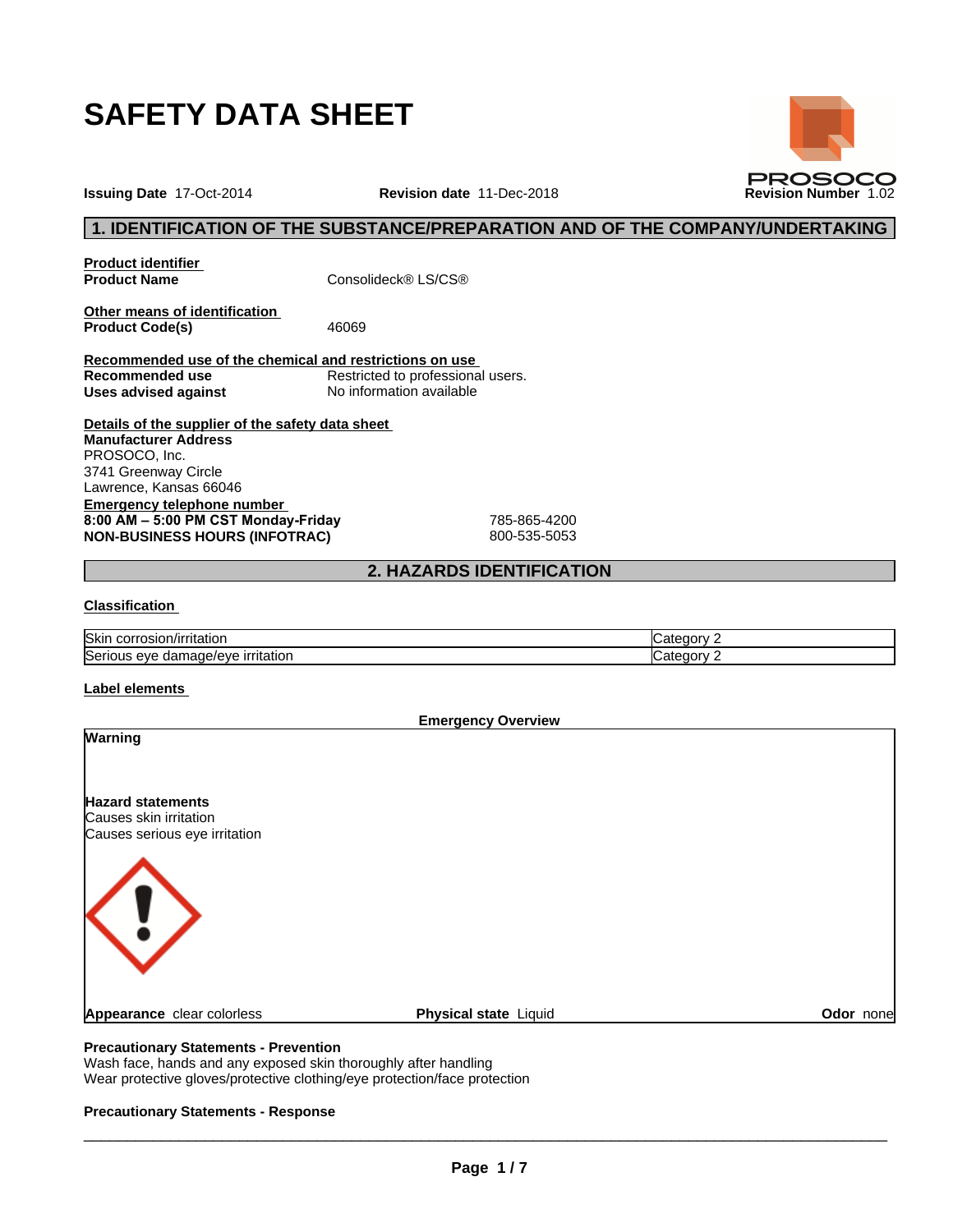

**Issuing Date** 17-Oct-2014 **Revision date** 11-Dec-2018 **Revision Number** 1.02



**PROSOCO** 

**Product identifier**

**Product Name** Consolideck® LS/CS®

**Other means of identification**<br>**Product Code(s)** 46069 **Product Code(s)** 

**Recommended use of the chemical and restrictions on use Restricted to professional users. Uses advised against** No information available

**Details of the supplier of the safety data sheet Emergency telephone number 8:00AM–5:00PMCSTMonday-Friday** 785-865-4200 **NON-BUSINESS HOURS (INFOTRAC)** 800-535-5053 **Manufacturer Address** PROSOCO, Inc. 3741 Greenway Circle Lawrence, Kansas 66046

## **2. HAZARDS IDENTIFICATION**

### **Classification**

| <b>Skin</b><br>rosion/irritation<br>JOFF. | .ate<br>.⊲u∩rv |
|-------------------------------------------|----------------|
| Serio                                     | .ate           |
| irritation                                | ⊰aorv          |
| eve                                       |                |
| damade/eve                                | . .            |

#### **Label elements**

**Emergency Overview Warning Hazard statements** Causes skin irritation Causes serious eye irritation **Appearance** clear colorless **Physical state** Liquid **Odor** none

### **Precautionary Statements - Prevention**

Wash face, hands and any exposed skin thoroughly after handling Wear protective gloves/protective clothing/eye protection/face protection

### **Precautionary Statements - Response**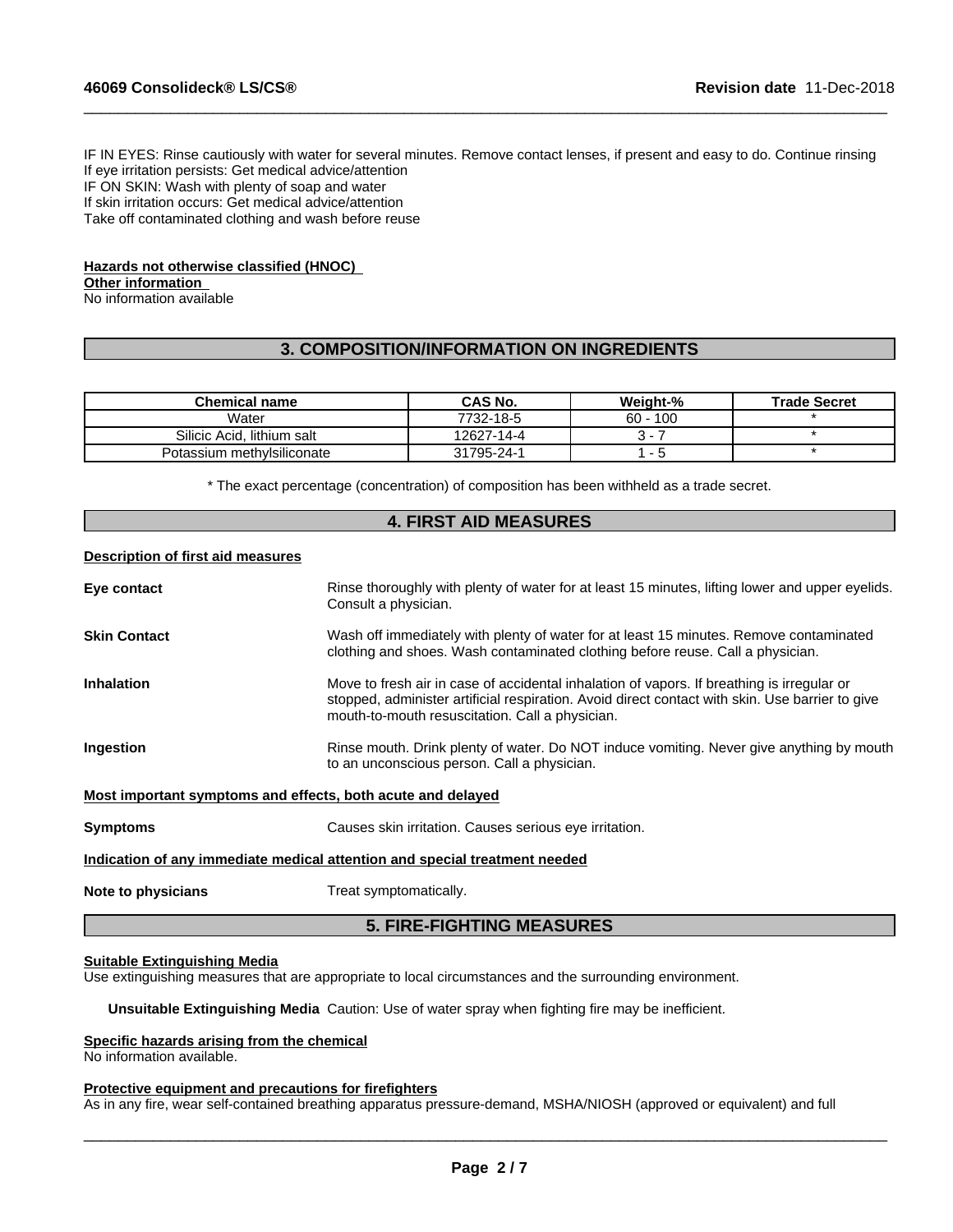IF IN EYES: Rinse cautiously with water for several minutes. Remove contact lenses, if present and easy to do. Continue rinsing If eye irritation persists: Get medical advice/attention IF ON SKIN: Wash with plenty of soap and water If skin irritation occurs: Get medical advice/attention Take off contaminated clothing and wash before reuse

 $\_$  ,  $\_$  ,  $\_$  ,  $\_$  ,  $\_$  ,  $\_$  ,  $\_$  ,  $\_$  ,  $\_$  ,  $\_$  ,  $\_$  ,  $\_$  ,  $\_$  ,  $\_$  ,  $\_$  ,  $\_$  ,  $\_$  ,  $\_$  ,  $\_$  ,  $\_$  ,  $\_$  ,  $\_$  ,  $\_$  ,  $\_$  ,  $\_$  ,  $\_$  ,  $\_$  ,  $\_$  ,  $\_$  ,  $\_$  ,  $\_$  ,  $\_$  ,  $\_$  ,  $\_$  ,  $\_$  ,  $\_$  ,  $\_$  ,

## **Hazards not otherwise classified (HNOC)**

**Other information**

No information available

## **3. COMPOSITION/INFORMATION ON INGREDIENTS**

| Chemical name              | CAS No.    | Weight-%   | <b>Trade Secret</b> |
|----------------------------|------------|------------|---------------------|
| Water                      | 7732-18-5  | $60 - 100$ |                     |
| Silicic Acid. lithium salt | 12627-14-4 |            |                     |
| Potassium methylsiliconate | 31795-24-1 | - 0        |                     |

\* The exact percentage (concentration) of composition has been withheld as a trade secret.

|                                   | <b>4. FIRST AID MEASURES</b>                                                                                                                                                                                                                     |
|-----------------------------------|--------------------------------------------------------------------------------------------------------------------------------------------------------------------------------------------------------------------------------------------------|
| Description of first aid measures |                                                                                                                                                                                                                                                  |
| Eye contact                       | Rinse thoroughly with plenty of water for at least 15 minutes, lifting lower and upper eyelids.<br>Consult a physician.                                                                                                                          |
| Skin Contact                      | Wash off immediately with plenty of water for at least 15 minutes. Remove contaminated<br>clothing and shoes. Wash contaminated clothing before reuse. Call a physician.                                                                         |
| Inhalation                        | Move to fresh air in case of accidental inhalation of vapors. If breathing is irregular or<br>stopped, administer artificial respiration. Avoid direct contact with skin. Use barrier to give<br>mouth-to-mouth resuscitation. Call a physician. |
| Ingestion                         | Rinse mouth. Drink plenty of water. Do NOT induce vomiting. Never give anything by mouth<br>to an unconscious person. Call a physician.                                                                                                          |
|                                   | Most important symptoms and effects, both acute and delayed                                                                                                                                                                                      |
| Symptoms                          | Causes skin irritation. Causes serious eye irritation.                                                                                                                                                                                           |
|                                   | Indication of any immediate medical attention and special treatment needed                                                                                                                                                                       |
| Note to physicians                | Treat symptomatically.                                                                                                                                                                                                                           |
|                                   | <b>5. FIRE-FIGHTING MEASURES</b>                                                                                                                                                                                                                 |

#### **Suitable Extinguishing Media**

Use extinguishing measures that are appropriate to local circumstances and the surrounding environment.

**Unsuitable Extinguishing Media** Caution: Use of water spray when fighting fire may be inefficient.

#### **Specific hazards arising from the chemical**

No information available.

#### **Protective equipment and precautions for firefighters**

As in any fire, wear self-contained breathing apparatus pressure-demand, MSHA/NIOSH (approved or equivalent) and full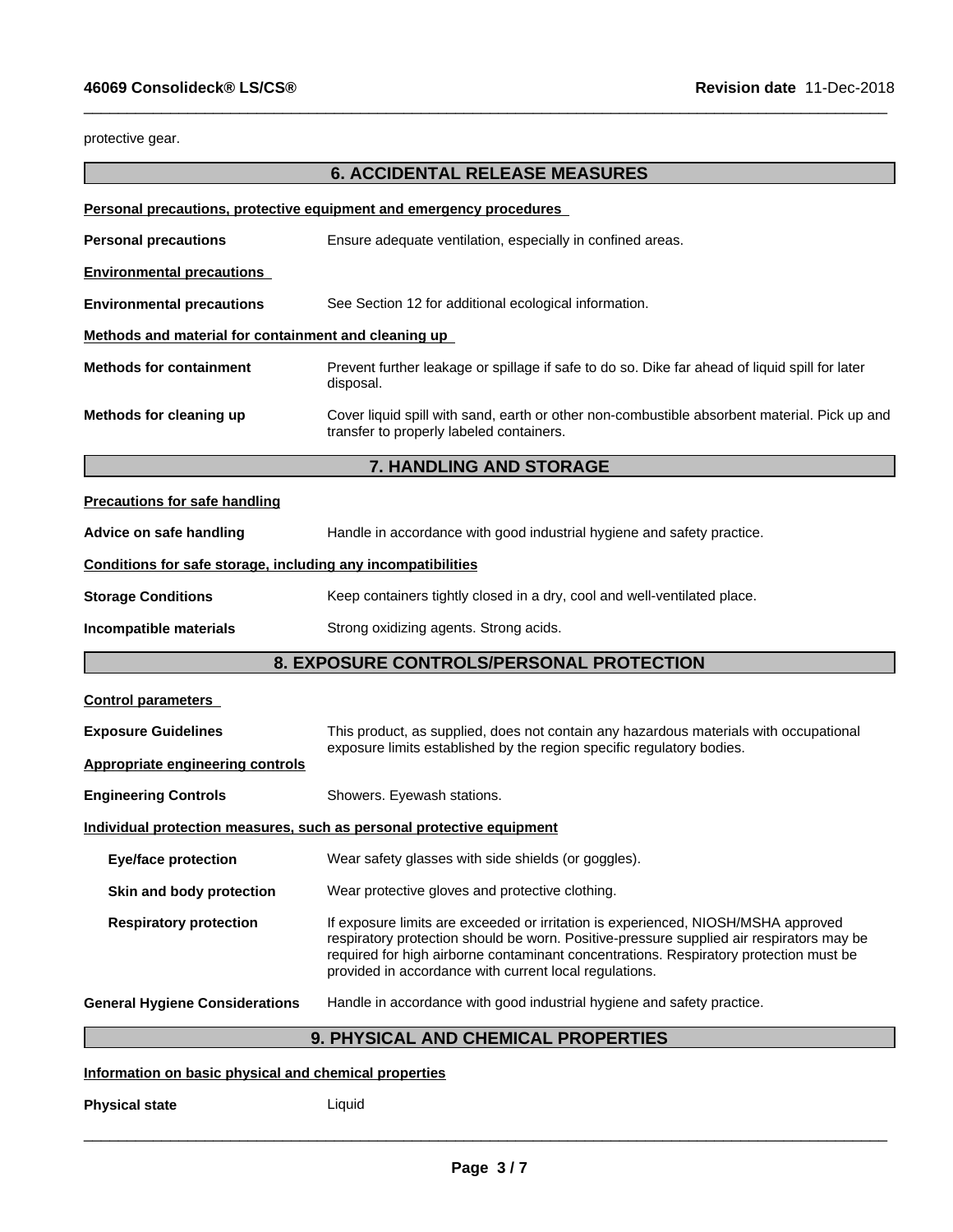protective gear.

# **6. ACCIDENTAL RELEASE MEASURES**

 $\_$  ,  $\_$  ,  $\_$  ,  $\_$  ,  $\_$  ,  $\_$  ,  $\_$  ,  $\_$  ,  $\_$  ,  $\_$  ,  $\_$  ,  $\_$  ,  $\_$  ,  $\_$  ,  $\_$  ,  $\_$  ,  $\_$  ,  $\_$  ,  $\_$  ,  $\_$  ,  $\_$  ,  $\_$  ,  $\_$  ,  $\_$  ,  $\_$  ,  $\_$  ,  $\_$  ,  $\_$  ,  $\_$  ,  $\_$  ,  $\_$  ,  $\_$  ,  $\_$  ,  $\_$  ,  $\_$  ,  $\_$  ,  $\_$  ,

|                                                              | Personal precautions, protective equipment and emergency procedures                                                                                                                                                                                                                                                              |  |  |  |
|--------------------------------------------------------------|----------------------------------------------------------------------------------------------------------------------------------------------------------------------------------------------------------------------------------------------------------------------------------------------------------------------------------|--|--|--|
| <b>Personal precautions</b>                                  | Ensure adequate ventilation, especially in confined areas.                                                                                                                                                                                                                                                                       |  |  |  |
| <b>Environmental precautions</b>                             |                                                                                                                                                                                                                                                                                                                                  |  |  |  |
| <b>Environmental precautions</b>                             | See Section 12 for additional ecological information.                                                                                                                                                                                                                                                                            |  |  |  |
| Methods and material for containment and cleaning up         |                                                                                                                                                                                                                                                                                                                                  |  |  |  |
| <b>Methods for containment</b>                               | Prevent further leakage or spillage if safe to do so. Dike far ahead of liquid spill for later<br>disposal.                                                                                                                                                                                                                      |  |  |  |
| Methods for cleaning up                                      | Cover liquid spill with sand, earth or other non-combustible absorbent material. Pick up and<br>transfer to properly labeled containers.                                                                                                                                                                                         |  |  |  |
|                                                              | 7. HANDLING AND STORAGE                                                                                                                                                                                                                                                                                                          |  |  |  |
| <b>Precautions for safe handling</b>                         |                                                                                                                                                                                                                                                                                                                                  |  |  |  |
| Advice on safe handling                                      | Handle in accordance with good industrial hygiene and safety practice.                                                                                                                                                                                                                                                           |  |  |  |
| Conditions for safe storage, including any incompatibilities |                                                                                                                                                                                                                                                                                                                                  |  |  |  |
| <b>Storage Conditions</b>                                    | Keep containers tightly closed in a dry, cool and well-ventilated place.                                                                                                                                                                                                                                                         |  |  |  |
| Incompatible materials                                       | Strong oxidizing agents. Strong acids.                                                                                                                                                                                                                                                                                           |  |  |  |
|                                                              | 8. EXPOSURE CONTROLS/PERSONAL PROTECTION                                                                                                                                                                                                                                                                                         |  |  |  |
| <b>Control parameters</b>                                    |                                                                                                                                                                                                                                                                                                                                  |  |  |  |
| <b>Exposure Guidelines</b>                                   | This product, as supplied, does not contain any hazardous materials with occupational                                                                                                                                                                                                                                            |  |  |  |
| <b>Appropriate engineering controls</b>                      | exposure limits established by the region specific regulatory bodies.                                                                                                                                                                                                                                                            |  |  |  |
| <b>Engineering Controls</b>                                  | Showers. Eyewash stations.                                                                                                                                                                                                                                                                                                       |  |  |  |
|                                                              | Individual protection measures, such as personal protective equipment                                                                                                                                                                                                                                                            |  |  |  |
| <b>Eye/face protection</b>                                   | Wear safety glasses with side shields (or goggles).                                                                                                                                                                                                                                                                              |  |  |  |
| Skin and body protection                                     | Wear protective gloves and protective clothing.                                                                                                                                                                                                                                                                                  |  |  |  |
| <b>Respiratory protection</b>                                | If exposure limits are exceeded or irritation is experienced, NIOSH/MSHA approved<br>respiratory protection should be worn. Positive-pressure supplied air respirators may be<br>required for high airborne contaminant concentrations. Respiratory protection must be<br>provided in accordance with current local regulations. |  |  |  |
| <b>General Hygiene Considerations</b>                        | Handle in accordance with good industrial hygiene and safety practice.                                                                                                                                                                                                                                                           |  |  |  |
|                                                              | 9. PHYSICAL AND CHEMICAL PROPERTIES                                                                                                                                                                                                                                                                                              |  |  |  |

**Information on basic physical and chemical properties**

**Physical state** Liquid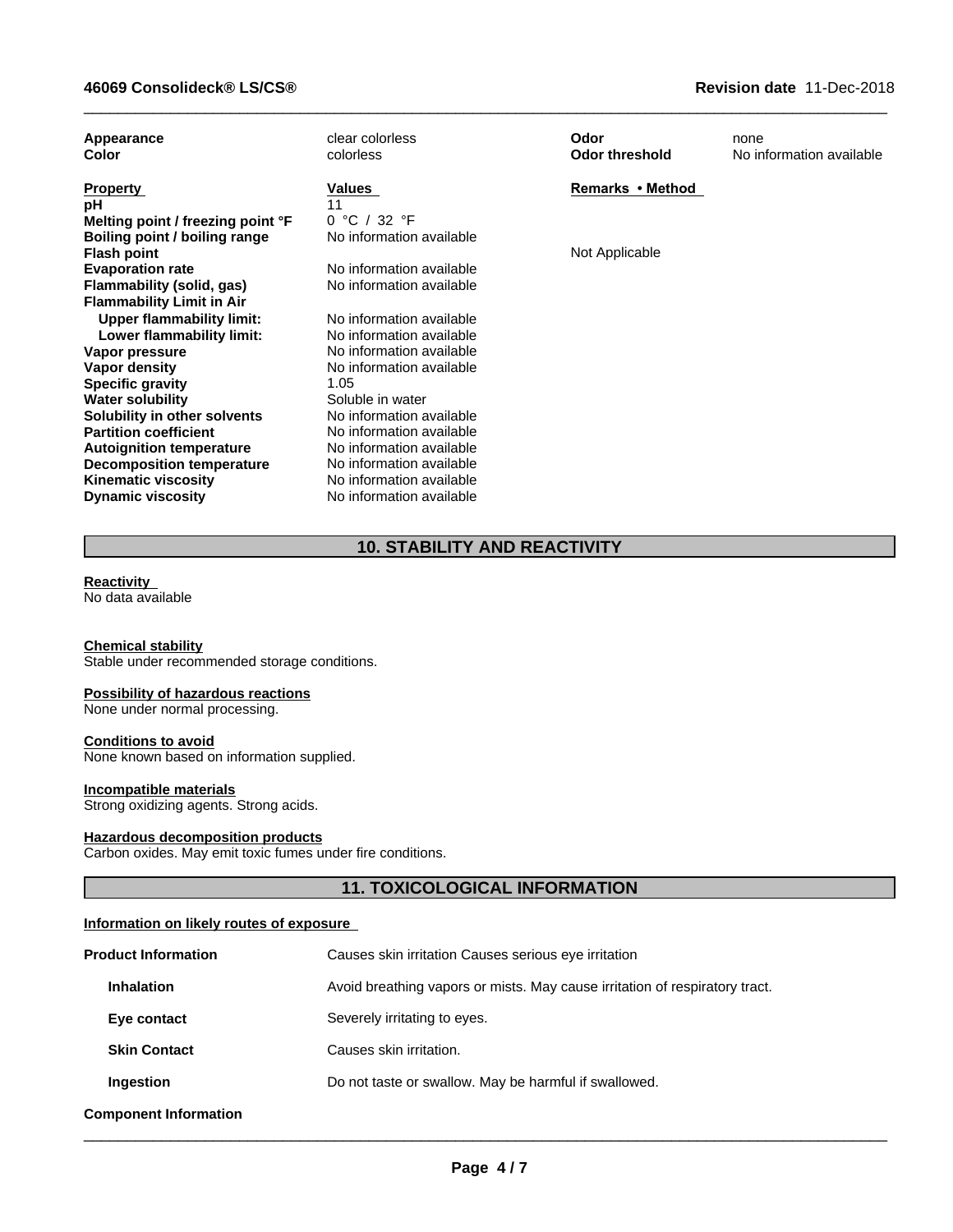| Appearance<br>Color                                 | clear colorless<br>colorless             | Odor<br><b>Odor threshold</b> | none<br>No information available |
|-----------------------------------------------------|------------------------------------------|-------------------------------|----------------------------------|
| <b>Property</b>                                     | Values                                   | Remarks • Method              |                                  |
| рH                                                  |                                          |                               |                                  |
| Melting point / freezing point °F                   | 0 °C / 32 °F<br>No information available |                               |                                  |
| Boiling point / boiling range<br><b>Flash point</b> |                                          | Not Applicable                |                                  |
| <b>Evaporation rate</b>                             | No information available                 |                               |                                  |
| Flammability (solid, gas)                           | No information available                 |                               |                                  |
| <b>Flammability Limit in Air</b>                    |                                          |                               |                                  |
| <b>Upper flammability limit:</b>                    | No information available                 |                               |                                  |
| Lower flammability limit:                           | No information available                 |                               |                                  |
| Vapor pressure                                      | No information available                 |                               |                                  |
| Vapor density                                       | No information available                 |                               |                                  |
| <b>Specific gravity</b>                             | 1.05                                     |                               |                                  |
| <b>Water solubility</b>                             | Soluble in water                         |                               |                                  |
| Solubility in other solvents                        | No information available                 |                               |                                  |
| <b>Partition coefficient</b>                        | No information available                 |                               |                                  |
| <b>Autoignition temperature</b>                     | No information available                 |                               |                                  |
| <b>Decomposition temperature</b>                    | No information available                 |                               |                                  |
| <b>Kinematic viscosity</b>                          | No information available                 |                               |                                  |
| <b>Dynamic viscosity</b>                            | No information available                 |                               |                                  |

 $\_$  ,  $\_$  ,  $\_$  ,  $\_$  ,  $\_$  ,  $\_$  ,  $\_$  ,  $\_$  ,  $\_$  ,  $\_$  ,  $\_$  ,  $\_$  ,  $\_$  ,  $\_$  ,  $\_$  ,  $\_$  ,  $\_$  ,  $\_$  ,  $\_$  ,  $\_$  ,  $\_$  ,  $\_$  ,  $\_$  ,  $\_$  ,  $\_$  ,  $\_$  ,  $\_$  ,  $\_$  ,  $\_$  ,  $\_$  ,  $\_$  ,  $\_$  ,  $\_$  ,  $\_$  ,  $\_$  ,  $\_$  ,  $\_$  ,

# **10. STABILITY AND REACTIVITY**

## **Reactivity**

No data available

### **Chemical stability**

Stable under recommended storage conditions.

#### **Possibility of hazardous reactions**

None under normal processing.

### **Conditions to avoid**

None known based on information supplied.

#### **Incompatible materials**

Strong oxidizing agents. Strong acids.

#### **Hazardous decomposition products**

Carbon oxides. May emit toxic fumes under fire conditions.

## **11. TOXICOLOGICAL INFORMATION**

### **Information on likely routes of exposure**

| <b>Product Information</b>   | Causes skin irritation Causes serious eye irritation                        |
|------------------------------|-----------------------------------------------------------------------------|
| <b>Inhalation</b>            | Avoid breathing vapors or mists. May cause irritation of respiratory tract. |
| Eye contact                  | Severely irritating to eyes.                                                |
| <b>Skin Contact</b>          | Causes skin irritation.                                                     |
| Ingestion                    | Do not taste or swallow. May be harmful if swallowed.                       |
| <b>Component Information</b> |                                                                             |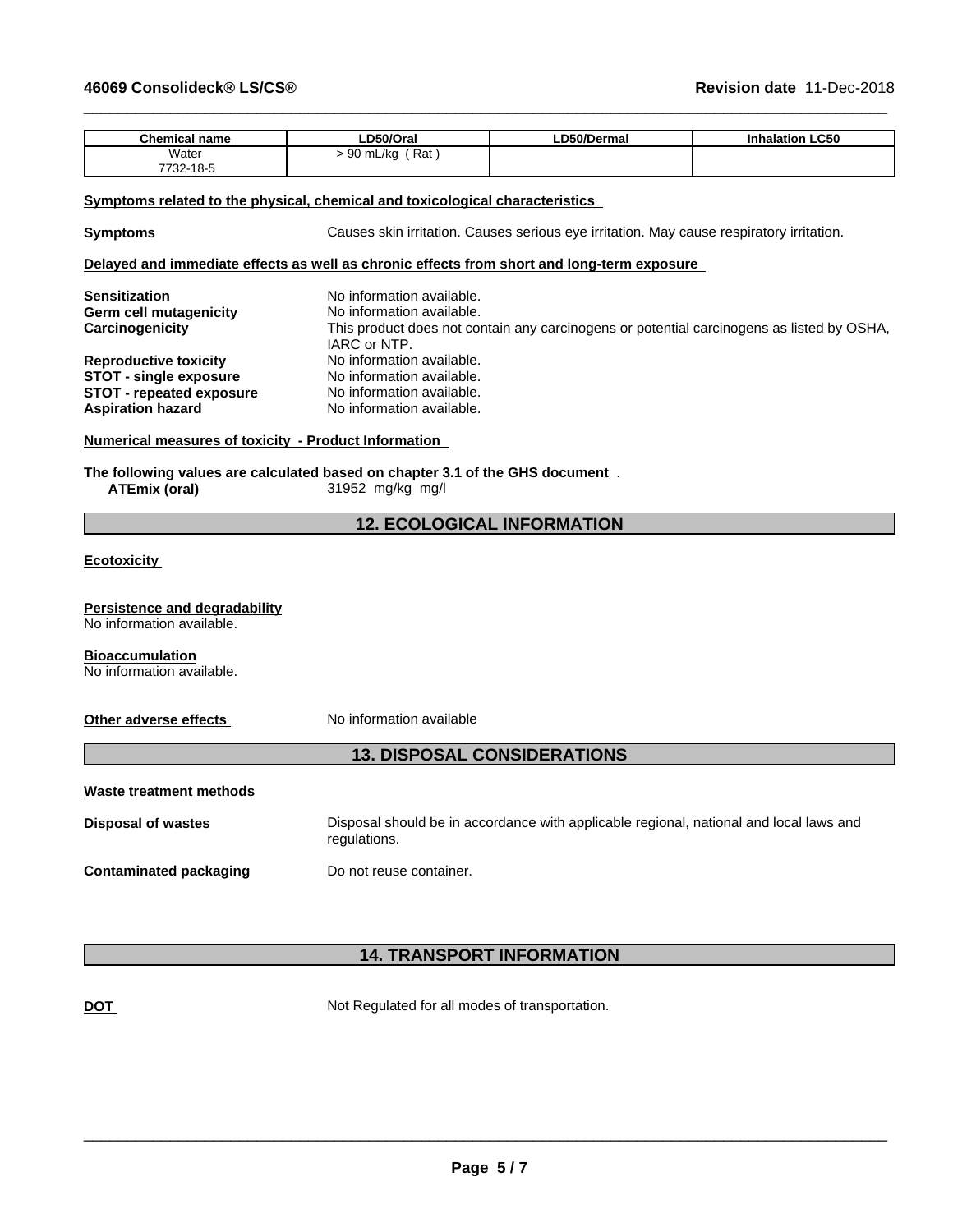| <b>Chemical name</b> | LD50/Oral                      | LD50/Dermal | <b>Inhalation LC50</b> |
|----------------------|--------------------------------|-------------|------------------------|
| Water<br>7732-18-5   | Rat<br>$\sim$<br>) mL/ka<br>ັບ |             |                        |

#### **Symptoms related to the physical, chemical and toxicological characteristics**

**Symptoms** Causes skin irritation. Causes serious eye irritation. May cause respiratory irritation.

 $\_$  ,  $\_$  ,  $\_$  ,  $\_$  ,  $\_$  ,  $\_$  ,  $\_$  ,  $\_$  ,  $\_$  ,  $\_$  ,  $\_$  ,  $\_$  ,  $\_$  ,  $\_$  ,  $\_$  ,  $\_$  ,  $\_$  ,  $\_$  ,  $\_$  ,  $\_$  ,  $\_$  ,  $\_$  ,  $\_$  ,  $\_$  ,  $\_$  ,  $\_$  ,  $\_$  ,  $\_$  ,  $\_$  ,  $\_$  ,  $\_$  ,  $\_$  ,  $\_$  ,  $\_$  ,  $\_$  ,  $\_$  ,  $\_$  ,

## **Delayed and immediate effects as well as chronic effects from short and long-term exposure**

| <b>Sensitization</b>            | No information available.                                                                 |
|---------------------------------|-------------------------------------------------------------------------------------------|
| Germ cell mutagenicity          | No information available.                                                                 |
| Carcinogenicity                 | This product does not contain any carcinogens or potential carcinogens as listed by OSHA, |
|                                 | IARC or NTP.                                                                              |
| <b>Reproductive toxicity</b>    | No information available.                                                                 |
| STOT - single exposure          | No information available.                                                                 |
| <b>STOT - repeated exposure</b> | No information available.                                                                 |
| <b>Aspiration hazard</b>        | No information available.                                                                 |

### **Numerical measures of toxicity - Product Information**

**The following values are calculated based on chapter 3.1 of the GHS document** . **ATEmix (oral)** 31952 mg/kg mg/l

## **12. ECOLOGICAL INFORMATION**

**Ecotoxicity** 

**Persistence and degradability** No information available.

**Bioaccumulation**

No information available.

#### **Other adverse effects** No information available

## **13. DISPOSAL CONSIDERATIONS**

| Waste treatment methods       |                                                                                                        |
|-------------------------------|--------------------------------------------------------------------------------------------------------|
| <b>Disposal of wastes</b>     | Disposal should be in accordance with applicable regional, national and local laws and<br>regulations. |
| <b>Contaminated packaging</b> | Do not reuse container.                                                                                |

## **14. TRANSPORT INFORMATION**

**DOT** Not Regulated for all modes of transportation.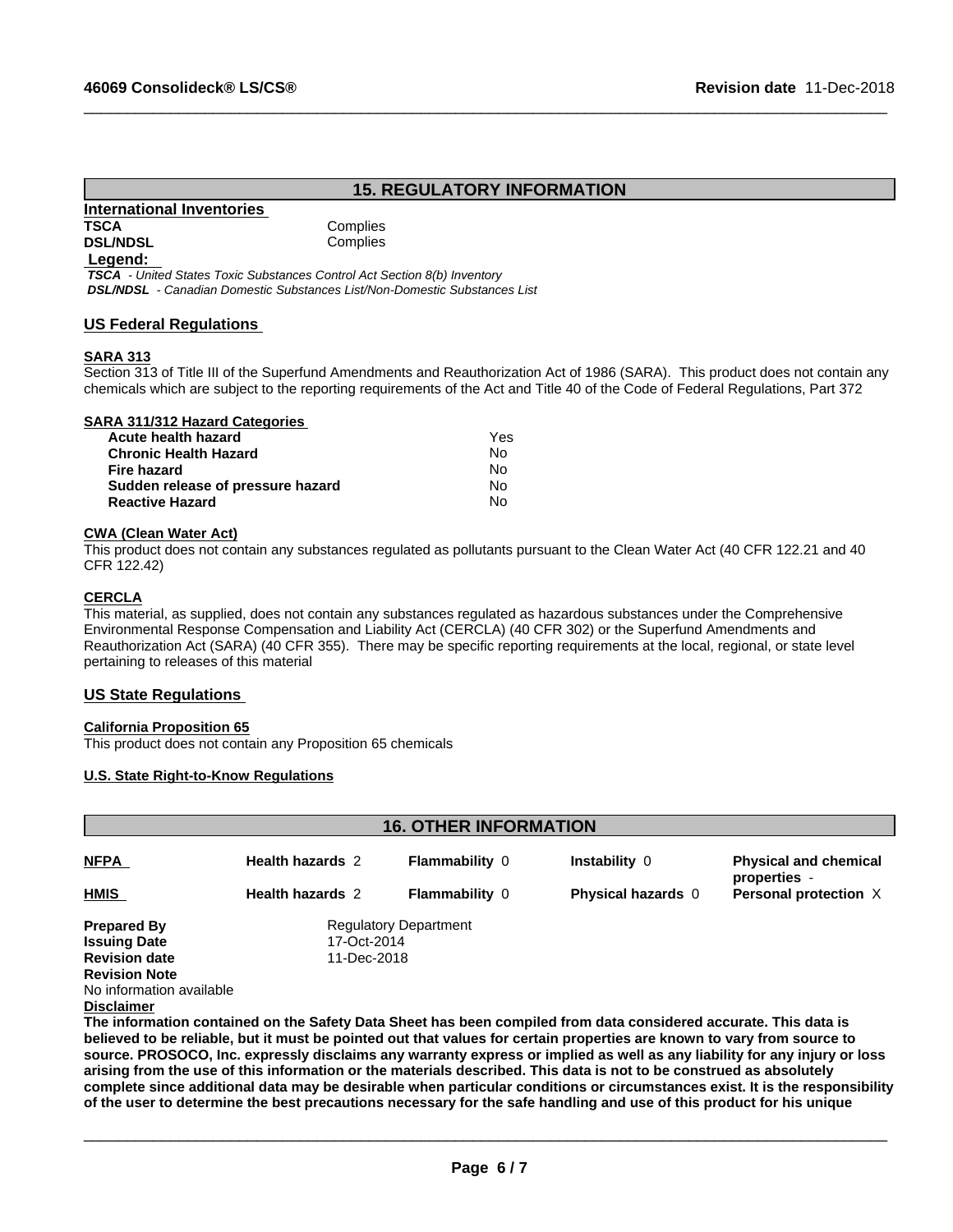## **15. REGULATORY INFORMATION**

 $\_$  ,  $\_$  ,  $\_$  ,  $\_$  ,  $\_$  ,  $\_$  ,  $\_$  ,  $\_$  ,  $\_$  ,  $\_$  ,  $\_$  ,  $\_$  ,  $\_$  ,  $\_$  ,  $\_$  ,  $\_$  ,  $\_$  ,  $\_$  ,  $\_$  ,  $\_$  ,  $\_$  ,  $\_$  ,  $\_$  ,  $\_$  ,  $\_$  ,  $\_$  ,  $\_$  ,  $\_$  ,  $\_$  ,  $\_$  ,  $\_$  ,  $\_$  ,  $\_$  ,  $\_$  ,  $\_$  ,  $\_$  ,  $\_$  ,

#### **International Inventories TSCA** Complies **DSL/NDSL** Complies

#### **Legend:**

 *TSCA - United States Toxic Substances Control Act Section 8(b) Inventory DSL/NDSL - Canadian Domestic Substances List/Non-Domestic Substances List*

### **US Federal Regulations**

### **SARA 313**

Section 313 of Title III of the Superfund Amendments and Reauthorization Act of 1986 (SARA). This product does not contain any chemicals which are subject to the reporting requirements of the Act and Title 40 of the Code of Federal Regulations, Part 372

### **SARA 311/312 Hazard Categories**

| Acute health hazard               | Yes |  |
|-----------------------------------|-----|--|
| Chronic Health Hazard             | No. |  |
| Fire hazard                       | N٥  |  |
| Sudden release of pressure hazard | No. |  |
| Reactive Hazard                   | N٥  |  |

#### **CWA (Clean WaterAct)**

This product does not contain any substances regulated as pollutants pursuant to the Clean Water Act (40 CFR 122.21 and 40 CFR 122.42)

#### **CERCLA**

This material, as supplied, does not contain any substances regulated as hazardous substances under the Comprehensive Environmental Response Compensation and Liability Act (CERCLA) (40 CFR 302) or the Superfund Amendments and Reauthorization Act (SARA) (40 CFR 355). There may be specific reporting requirements at the local, regional, or state level pertaining to releases of this material

### **US State Regulations**

#### **California Proposition 65**

This product does not contain any Proposition 65 chemicals

#### **U.S. State Right-to-Know Regulations**

|                          |                         | <b>16. OTHER INFORMATION</b> |                                                                                                                  |                                              |
|--------------------------|-------------------------|------------------------------|------------------------------------------------------------------------------------------------------------------|----------------------------------------------|
| <b>NFPA</b>              | <b>Health hazards 2</b> | <b>Flammability 0</b>        | Instability 0                                                                                                    | <b>Physical and chemical</b><br>properties - |
| <b>HMIS</b>              | <b>Health hazards 2</b> | <b>Flammability 0</b>        | <b>Physical hazards 0</b>                                                                                        | Personal protection X                        |
| <b>Prepared By</b>       |                         | <b>Regulatory Department</b> |                                                                                                                  |                                              |
| <b>Issuing Date</b>      | 17-Oct-2014             |                              |                                                                                                                  |                                              |
| <b>Revision date</b>     | 11-Dec-2018             |                              |                                                                                                                  |                                              |
| <b>Revision Note</b>     |                         |                              |                                                                                                                  |                                              |
| No information available |                         |                              |                                                                                                                  |                                              |
| <b>Disclaimer</b>        |                         |                              |                                                                                                                  |                                              |
|                          |                         |                              | The information contained on the Safety Data Sheet has been compiled from data considered accurate. This data is |                                              |

believed to be reliable, but it must be pointed out that values for certain properties are known to vary from source to source. PROSOCO, Inc. expressly disclaims any warranty express or implied as well as any liability for any injury or loss arising from the use of this information or the materials described. This data is not to be construed as absolutely complete since additional data may be desirable when particular conditions or circumstances exist. It is the responsibility of the user to determine the best precautions necessary for the safe handling and use of this product for his unique